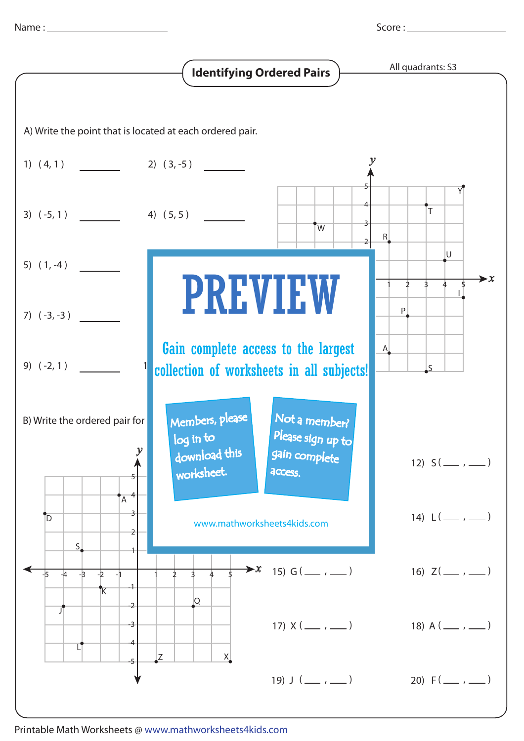